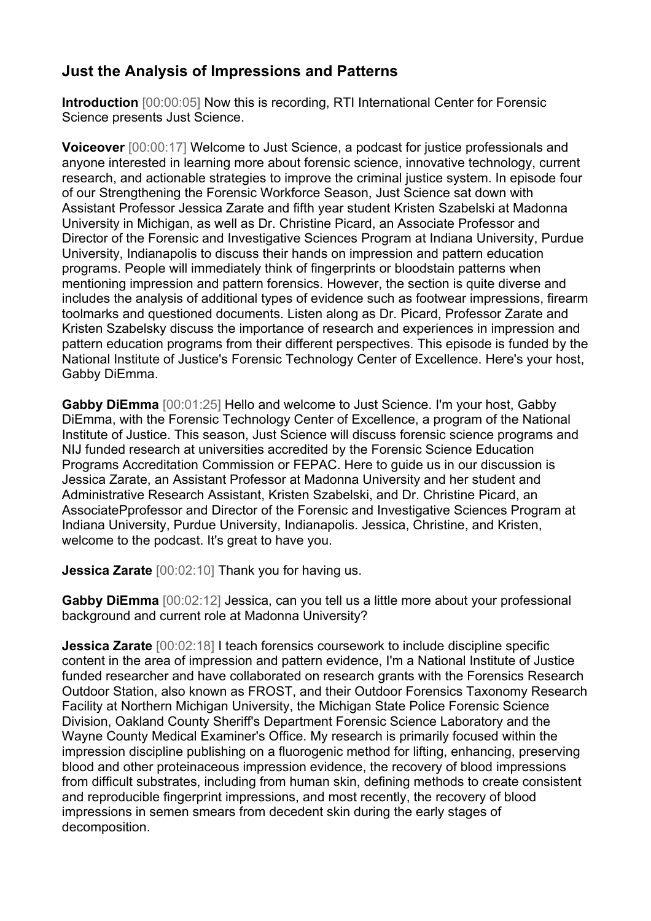## **Just the Analysis of Impressions and Patterns**

**Introduction** [00:00:05] Now this is recording, RTI International Center for Forensic Science presents Just Science.

**Voiceover** [00:00:17] Welcome to Just Science, a podcast for justice professionals and anyone interested in learning more about forensic science, innovative technology, current research, and actionable strategies to improve the criminal justice system. In episode four of our Strengthening the Forensic Workforce Season, Just Science sat down with Assistant Professor Jessica Zarate and fifth year student Kristen Szabelski at Madonna University in Michigan, as well as Dr. Christine Picard, an Associate Professor and Director of the Forensic and Investigative Sciences Program at Indiana University, Purdue University, Indianapolis to discuss their hands on impression and pattern education programs. People will immediately think of fingerprints or bloodstain patterns when mentioning impression and pattern forensics. However, the section is quite diverse and includes the analysis of additional types of evidence such as footwear impressions, firearm toolmarks and questioned documents. Listen along as Dr. Picard, Professor Zarate and Kristen Szabelsky discuss the importance of research and experiences in impression and pattern education programs from their different perspectives. This episode is funded by the National Institute of Justice's Forensic Technology Center of Excellence. Here's your host, Gabby DiEmma.

**Gabby DiEmma** [00:01:25] Hello and welcome to Just Science. I'm your host, Gabby DiEmma, with the Forensic Technology Center of Excellence, a program of the National Institute of Justice. This season, Just Science will discuss forensic science programs and NIJ funded research at universities accredited by the Forensic Science Education Programs Accreditation Commission or FEPAC. Here to guide us in our discussion is Jessica Zarate, an Assistant Professor at Madonna University and her student and Administrative Research Assistant, Kristen Szabelski, and Dr. Christine Picard, an AssociatePprofessor and Director of the Forensic and Investigative Sciences Program at Indiana University, Purdue University, Indianapolis. Jessica, Christine, and Kristen, welcome to the podcast. It's great to have you.

**Jessica Zarate** [00:02:10] Thank you for having us.

**Gabby DiEmma** [00:02:12] Jessica, can you tell us a little more about your professional background and current role at Madonna University?

**Jessica Zarate** [00:02:18] I teach forensics coursework to include discipline specific content in the area of impression and pattern evidence, I'm a National Institute of Justice funded researcher and have collaborated on research grants with the Forensics Research Outdoor Station, also known as FROST, and their Outdoor Forensics Taxonomy Research Facility at Northern Michigan University, the Michigan State Police Forensic Science Division, Oakland County Sheriff's Department Forensic Science Laboratory and the Wayne County Medical Examiner's Office. My research is primarily focused within the impression discipline publishing on a fluorogenic method for lifting, enhancing, preserving blood and other proteinaceous impression evidence, the recovery of blood impressions from difficult substrates, including from human skin, defining methods to create consistent and reproducible fingerprint impressions, and most recently, the recovery of blood impressions in semen smears from decedent skin during the early stages of decomposition.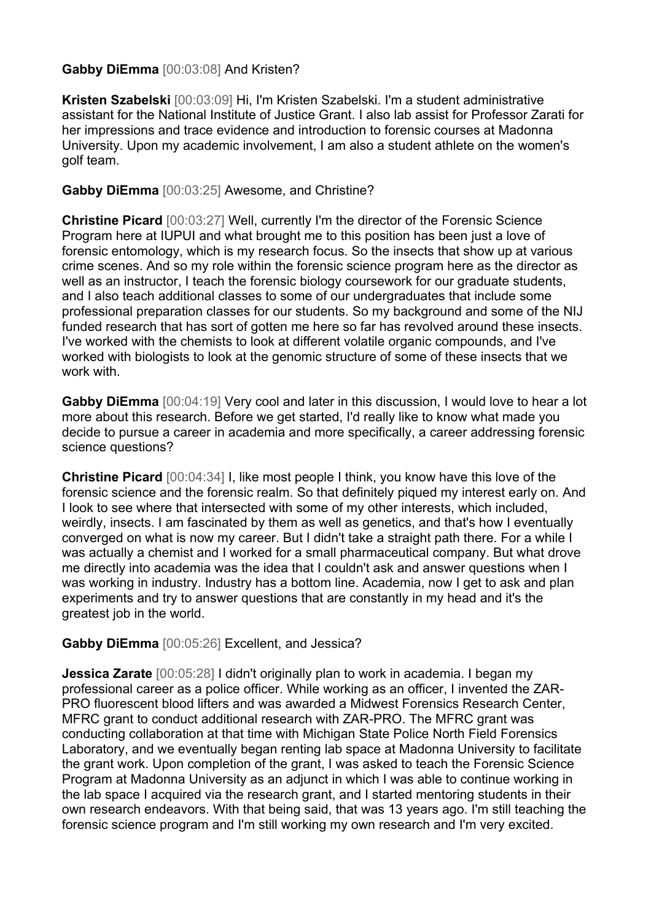## **Gabby DiEmma** [00:03:08] And Kristen?

**Kristen Szabelski** [00:03:09] Hi, I'm Kristen Szabelski. I'm a student administrative assistant for the National Institute of Justice Grant. I also lab assist for Professor Zarati for her impressions and trace evidence and introduction to forensic courses at Madonna University. Upon my academic involvement, I am also a student athlete on the women's golf team.

## **Gabby DiEmma** [00:03:25] Awesome, and Christine?

**Christine Picard** [00:03:27] Well, currently I'm the director of the Forensic Science Program here at IUPUI and what brought me to this position has been just a love of forensic entomology, which is my research focus. So the insects that show up at various crime scenes. And so my role within the forensic science program here as the director as well as an instructor, I teach the forensic biology coursework for our graduate students, and I also teach additional classes to some of our undergraduates that include some professional preparation classes for our students. So my background and some of the NIJ funded research that has sort of gotten me here so far has revolved around these insects. I've worked with the chemists to look at different volatile organic compounds, and I've worked with biologists to look at the genomic structure of some of these insects that we work with.

**Gabby DiEmma** [00:04:19] Very cool and later in this discussion, I would love to hear a lot more about this research. Before we get started, I'd really like to know what made you decide to pursue a career in academia and more specifically, a career addressing forensic science questions?

**Christine Picard** [00:04:34] I, like most people I think, you know have this love of the forensic science and the forensic realm. So that definitely piqued my interest early on. And I look to see where that intersected with some of my other interests, which included, weirdly, insects. I am fascinated by them as well as genetics, and that's how I eventually converged on what is now my career. But I didn't take a straight path there. For a while I was actually a chemist and I worked for a small pharmaceutical company. But what drove me directly into academia was the idea that I couldn't ask and answer questions when I was working in industry. Industry has a bottom line. Academia, now I get to ask and plan experiments and try to answer questions that are constantly in my head and it's the greatest job in the world.

## **Gabby DiEmma** [00:05:26] Excellent, and Jessica?

**Jessica Zarate** [00:05:28] I didn't originally plan to work in academia. I began my professional career as a police officer. While working as an officer, I invented the ZAR-PRO fluorescent blood lifters and was awarded a Midwest Forensics Research Center, MFRC grant to conduct additional research with ZAR-PRO. The MFRC grant was conducting collaboration at that time with Michigan State Police North Field Forensics Laboratory, and we eventually began renting lab space at Madonna University to facilitate the grant work. Upon completion of the grant, I was asked to teach the Forensic Science Program at Madonna University as an adjunct in which I was able to continue working in the lab space I acquired via the research grant, and I started mentoring students in their own research endeavors. With that being said, that was 13 years ago. I'm still teaching the forensic science program and I'm still working my own research and I'm very excited.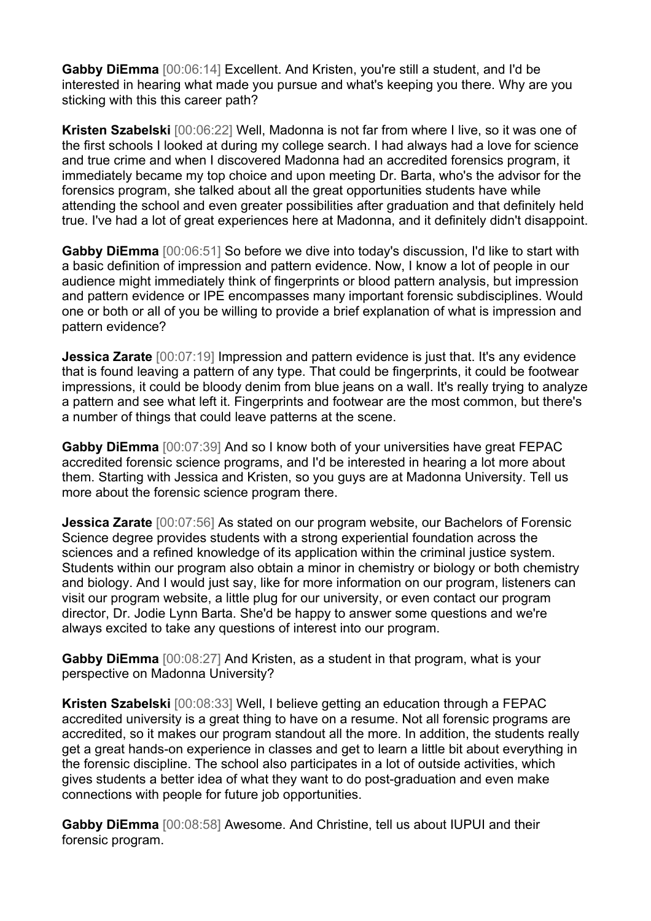**Gabby DiEmma** [00:06:14] Excellent. And Kristen, you're still a student, and I'd be interested in hearing what made you pursue and what's keeping you there. Why are you sticking with this this career path?

**Kristen Szabelski** [00:06:22] Well, Madonna is not far from where I live, so it was one of the first schools I looked at during my college search. I had always had a love for science and true crime and when I discovered Madonna had an accredited forensics program, it immediately became my top choice and upon meeting Dr. Barta, who's the advisor for the forensics program, she talked about all the great opportunities students have while attending the school and even greater possibilities after graduation and that definitely held true. I've had a lot of great experiences here at Madonna, and it definitely didn't disappoint.

**Gabby DiEmma** [00:06:51] So before we dive into today's discussion, I'd like to start with a basic definition of impression and pattern evidence. Now, I know a lot of people in our audience might immediately think of fingerprints or blood pattern analysis, but impression and pattern evidence or IPE encompasses many important forensic subdisciplines. Would one or both or all of you be willing to provide a brief explanation of what is impression and pattern evidence?

**Jessica Zarate** [00:07:19] Impression and pattern evidence is just that. It's any evidence that is found leaving a pattern of any type. That could be fingerprints, it could be footwear impressions, it could be bloody denim from blue jeans on a wall. It's really trying to analyze a pattern and see what left it. Fingerprints and footwear are the most common, but there's a number of things that could leave patterns at the scene.

**Gabby DiEmma** [00:07:39] And so I know both of your universities have great FEPAC accredited forensic science programs, and I'd be interested in hearing a lot more about them. Starting with Jessica and Kristen, so you guys are at Madonna University. Tell us more about the forensic science program there.

**Jessica Zarate** [00:07:56] As stated on our program website, our Bachelors of Forensic Science degree provides students with a strong experiential foundation across the sciences and a refined knowledge of its application within the criminal justice system. Students within our program also obtain a minor in chemistry or biology or both chemistry and biology. And I would just say, like for more information on our program, listeners can visit our program website, a little plug for our university, or even contact our program director, Dr. Jodie Lynn Barta. She'd be happy to answer some questions and we're always excited to take any questions of interest into our program.

**Gabby DiEmma** [00:08:27] And Kristen, as a student in that program, what is your perspective on Madonna University?

**Kristen Szabelski** [00:08:33] Well, I believe getting an education through a FEPAC accredited university is a great thing to have on a resume. Not all forensic programs are accredited, so it makes our program standout all the more. In addition, the students really get a great hands-on experience in classes and get to learn a little bit about everything in the forensic discipline. The school also participates in a lot of outside activities, which gives students a better idea of what they want to do post-graduation and even make connections with people for future job opportunities.

**Gabby DiEmma** [00:08:58] Awesome. And Christine, tell us about IUPUI and their forensic program.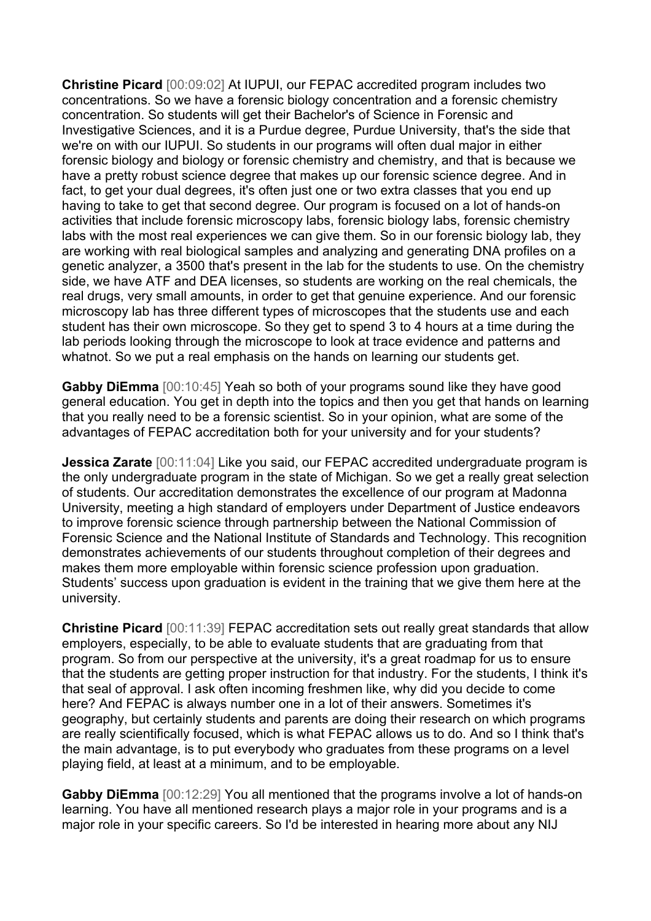**Christine Picard** [00:09:02] At IUPUI, our FEPAC accredited program includes two concentrations. So we have a forensic biology concentration and a forensic chemistry concentration. So students will get their Bachelor's of Science in Forensic and Investigative Sciences, and it is a Purdue degree, Purdue University, that's the side that we're on with our IUPUI. So students in our programs will often dual major in either forensic biology and biology or forensic chemistry and chemistry, and that is because we have a pretty robust science degree that makes up our forensic science degree. And in fact, to get your dual degrees, it's often just one or two extra classes that you end up having to take to get that second degree. Our program is focused on a lot of hands-on activities that include forensic microscopy labs, forensic biology labs, forensic chemistry labs with the most real experiences we can give them. So in our forensic biology lab, they are working with real biological samples and analyzing and generating DNA profiles on a genetic analyzer, a 3500 that's present in the lab for the students to use. On the chemistry side, we have ATF and DEA licenses, so students are working on the real chemicals, the real drugs, very small amounts, in order to get that genuine experience. And our forensic microscopy lab has three different types of microscopes that the students use and each student has their own microscope. So they get to spend 3 to 4 hours at a time during the lab periods looking through the microscope to look at trace evidence and patterns and whatnot. So we put a real emphasis on the hands on learning our students get.

**Gabby DiEmma** [00:10:45] Yeah so both of your programs sound like they have good general education. You get in depth into the topics and then you get that hands on learning that you really need to be a forensic scientist. So in your opinion, what are some of the advantages of FEPAC accreditation both for your university and for your students?

**Jessica Zarate** [00:11:04] Like you said, our FEPAC accredited undergraduate program is the only undergraduate program in the state of Michigan. So we get a really great selection of students. Our accreditation demonstrates the excellence of our program at Madonna University, meeting a high standard of employers under Department of Justice endeavors to improve forensic science through partnership between the National Commission of Forensic Science and the National Institute of Standards and Technology. This recognition demonstrates achievements of our students throughout completion of their degrees and makes them more employable within forensic science profession upon graduation. Students' success upon graduation is evident in the training that we give them here at the university.

**Christine Picard** [00:11:39] FEPAC accreditation sets out really great standards that allow employers, especially, to be able to evaluate students that are graduating from that program. So from our perspective at the university, it's a great roadmap for us to ensure that the students are getting proper instruction for that industry. For the students, I think it's that seal of approval. I ask often incoming freshmen like, why did you decide to come here? And FEPAC is always number one in a lot of their answers. Sometimes it's geography, but certainly students and parents are doing their research on which programs are really scientifically focused, which is what FEPAC allows us to do. And so I think that's the main advantage, is to put everybody who graduates from these programs on a level playing field, at least at a minimum, and to be employable.

**Gabby DiEmma** [00:12:29] You all mentioned that the programs involve a lot of hands-on learning. You have all mentioned research plays a major role in your programs and is a major role in your specific careers. So I'd be interested in hearing more about any NIJ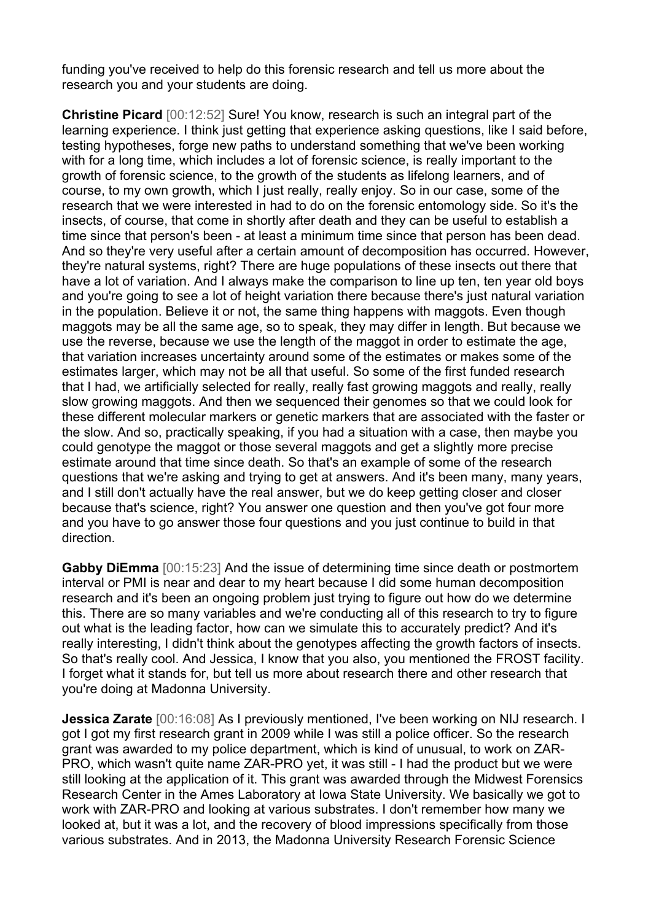funding you've received to help do this forensic research and tell us more about the research you and your students are doing.

**Christine Picard** [00:12:52] Sure! You know, research is such an integral part of the learning experience. I think just getting that experience asking questions, like I said before, testing hypotheses, forge new paths to understand something that we've been working with for a long time, which includes a lot of forensic science, is really important to the growth of forensic science, to the growth of the students as lifelong learners, and of course, to my own growth, which I just really, really enjoy. So in our case, some of the research that we were interested in had to do on the forensic entomology side. So it's the insects, of course, that come in shortly after death and they can be useful to establish a time since that person's been - at least a minimum time since that person has been dead. And so they're very useful after a certain amount of decomposition has occurred. However, they're natural systems, right? There are huge populations of these insects out there that have a lot of variation. And I always make the comparison to line up ten, ten year old boys and you're going to see a lot of height variation there because there's just natural variation in the population. Believe it or not, the same thing happens with maggots. Even though maggots may be all the same age, so to speak, they may differ in length. But because we use the reverse, because we use the length of the maggot in order to estimate the age, that variation increases uncertainty around some of the estimates or makes some of the estimates larger, which may not be all that useful. So some of the first funded research that I had, we artificially selected for really, really fast growing maggots and really, really slow growing maggots. And then we sequenced their genomes so that we could look for these different molecular markers or genetic markers that are associated with the faster or the slow. And so, practically speaking, if you had a situation with a case, then maybe you could genotype the maggot or those several maggots and get a slightly more precise estimate around that time since death. So that's an example of some of the research questions that we're asking and trying to get at answers. And it's been many, many years, and I still don't actually have the real answer, but we do keep getting closer and closer because that's science, right? You answer one question and then you've got four more and you have to go answer those four questions and you just continue to build in that direction.

**Gabby DiEmma** [00:15:23] And the issue of determining time since death or postmortem interval or PMI is near and dear to my heart because I did some human decomposition research and it's been an ongoing problem just trying to figure out how do we determine this. There are so many variables and we're conducting all of this research to try to figure out what is the leading factor, how can we simulate this to accurately predict? And it's really interesting, I didn't think about the genotypes affecting the growth factors of insects. So that's really cool. And Jessica, I know that you also, you mentioned the FROST facility. I forget what it stands for, but tell us more about research there and other research that you're doing at Madonna University.

**Jessica Zarate** [00:16:08] As I previously mentioned, I've been working on NIJ research. I got I got my first research grant in 2009 while I was still a police officer. So the research grant was awarded to my police department, which is kind of unusual, to work on ZAR-PRO, which wasn't quite name ZAR-PRO yet, it was still - I had the product but we were still looking at the application of it. This grant was awarded through the Midwest Forensics Research Center in the Ames Laboratory at Iowa State University. We basically we got to work with ZAR-PRO and looking at various substrates. I don't remember how many we looked at, but it was a lot, and the recovery of blood impressions specifically from those various substrates. And in 2013, the Madonna University Research Forensic Science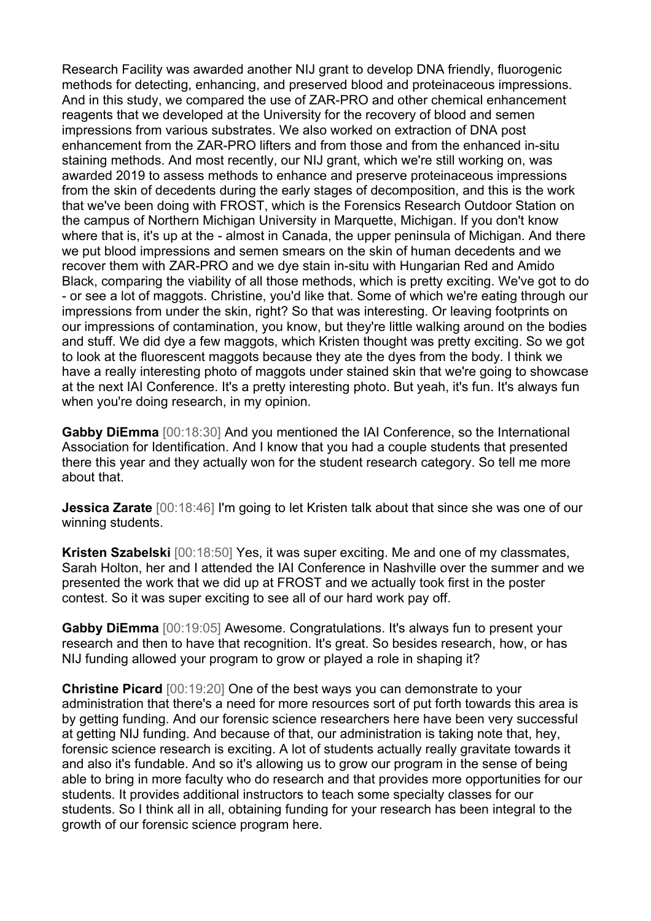Research Facility was awarded another NIJ grant to develop DNA friendly, fluorogenic methods for detecting, enhancing, and preserved blood and proteinaceous impressions. And in this study, we compared the use of ZAR-PRO and other chemical enhancement reagents that we developed at the University for the recovery of blood and semen impressions from various substrates. We also worked on extraction of DNA post enhancement from the ZAR-PRO lifters and from those and from the enhanced in-situ staining methods. And most recently, our NIJ grant, which we're still working on, was awarded 2019 to assess methods to enhance and preserve proteinaceous impressions from the skin of decedents during the early stages of decomposition, and this is the work that we've been doing with FROST, which is the Forensics Research Outdoor Station on the campus of Northern Michigan University in Marquette, Michigan. If you don't know where that is, it's up at the - almost in Canada, the upper peninsula of Michigan. And there we put blood impressions and semen smears on the skin of human decedents and we recover them with ZAR-PRO and we dye stain in-situ with Hungarian Red and Amido Black, comparing the viability of all those methods, which is pretty exciting. We've got to do - or see a lot of maggots. Christine, you'd like that. Some of which we're eating through our impressions from under the skin, right? So that was interesting. Or leaving footprints on our impressions of contamination, you know, but they're little walking around on the bodies and stuff. We did dye a few maggots, which Kristen thought was pretty exciting. So we got to look at the fluorescent maggots because they ate the dyes from the body. I think we have a really interesting photo of maggots under stained skin that we're going to showcase at the next IAI Conference. It's a pretty interesting photo. But yeah, it's fun. It's always fun when you're doing research, in my opinion.

**Gabby DiEmma** [00:18:30] And you mentioned the IAI Conference, so the International Association for Identification. And I know that you had a couple students that presented there this year and they actually won for the student research category. So tell me more about that.

**Jessica Zarate** [00:18:46] I'm going to let Kristen talk about that since she was one of our winning students.

**Kristen Szabelski** [00:18:50] Yes, it was super exciting. Me and one of my classmates, Sarah Holton, her and I attended the IAI Conference in Nashville over the summer and we presented the work that we did up at FROST and we actually took first in the poster contest. So it was super exciting to see all of our hard work pay off.

**Gabby DiEmma** [00:19:05] Awesome. Congratulations. It's always fun to present your research and then to have that recognition. It's great. So besides research, how, or has NIJ funding allowed your program to grow or played a role in shaping it?

**Christine Picard** [00:19:20] One of the best ways you can demonstrate to your administration that there's a need for more resources sort of put forth towards this area is by getting funding. And our forensic science researchers here have been very successful at getting NIJ funding. And because of that, our administration is taking note that, hey, forensic science research is exciting. A lot of students actually really gravitate towards it and also it's fundable. And so it's allowing us to grow our program in the sense of being able to bring in more faculty who do research and that provides more opportunities for our students. It provides additional instructors to teach some specialty classes for our students. So I think all in all, obtaining funding for your research has been integral to the growth of our forensic science program here.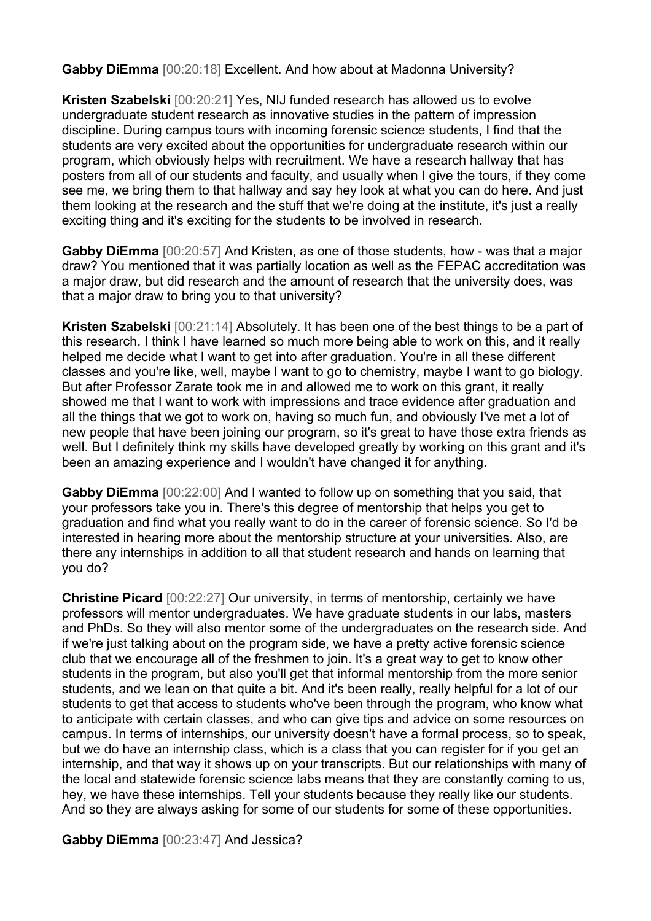**Gabby DiEmma** [00:20:18] Excellent. And how about at Madonna University?

**Kristen Szabelski** [00:20:21] Yes, NIJ funded research has allowed us to evolve undergraduate student research as innovative studies in the pattern of impression discipline. During campus tours with incoming forensic science students, I find that the students are very excited about the opportunities for undergraduate research within our program, which obviously helps with recruitment. We have a research hallway that has posters from all of our students and faculty, and usually when I give the tours, if they come see me, we bring them to that hallway and say hey look at what you can do here. And just them looking at the research and the stuff that we're doing at the institute, it's just a really exciting thing and it's exciting for the students to be involved in research.

**Gabby DiEmma** [00:20:57] And Kristen, as one of those students, how - was that a major draw? You mentioned that it was partially location as well as the FEPAC accreditation was a major draw, but did research and the amount of research that the university does, was that a major draw to bring you to that university?

**Kristen Szabelski** [00:21:14] Absolutely. It has been one of the best things to be a part of this research. I think I have learned so much more being able to work on this, and it really helped me decide what I want to get into after graduation. You're in all these different classes and you're like, well, maybe I want to go to chemistry, maybe I want to go biology. But after Professor Zarate took me in and allowed me to work on this grant, it really showed me that I want to work with impressions and trace evidence after graduation and all the things that we got to work on, having so much fun, and obviously I've met a lot of new people that have been joining our program, so it's great to have those extra friends as well. But I definitely think my skills have developed greatly by working on this grant and it's been an amazing experience and I wouldn't have changed it for anything.

**Gabby DiEmma** [00:22:00] And I wanted to follow up on something that you said, that your professors take you in. There's this degree of mentorship that helps you get to graduation and find what you really want to do in the career of forensic science. So I'd be interested in hearing more about the mentorship structure at your universities. Also, are there any internships in addition to all that student research and hands on learning that you do?

**Christine Picard** [00:22:27] Our university, in terms of mentorship, certainly we have professors will mentor undergraduates. We have graduate students in our labs, masters and PhDs. So they will also mentor some of the undergraduates on the research side. And if we're just talking about on the program side, we have a pretty active forensic science club that we encourage all of the freshmen to join. It's a great way to get to know other students in the program, but also you'll get that informal mentorship from the more senior students, and we lean on that quite a bit. And it's been really, really helpful for a lot of our students to get that access to students who've been through the program, who know what to anticipate with certain classes, and who can give tips and advice on some resources on campus. In terms of internships, our university doesn't have a formal process, so to speak, but we do have an internship class, which is a class that you can register for if you get an internship, and that way it shows up on your transcripts. But our relationships with many of the local and statewide forensic science labs means that they are constantly coming to us, hey, we have these internships. Tell your students because they really like our students. And so they are always asking for some of our students for some of these opportunities.

**Gabby DiEmma** [00:23:47] And Jessica?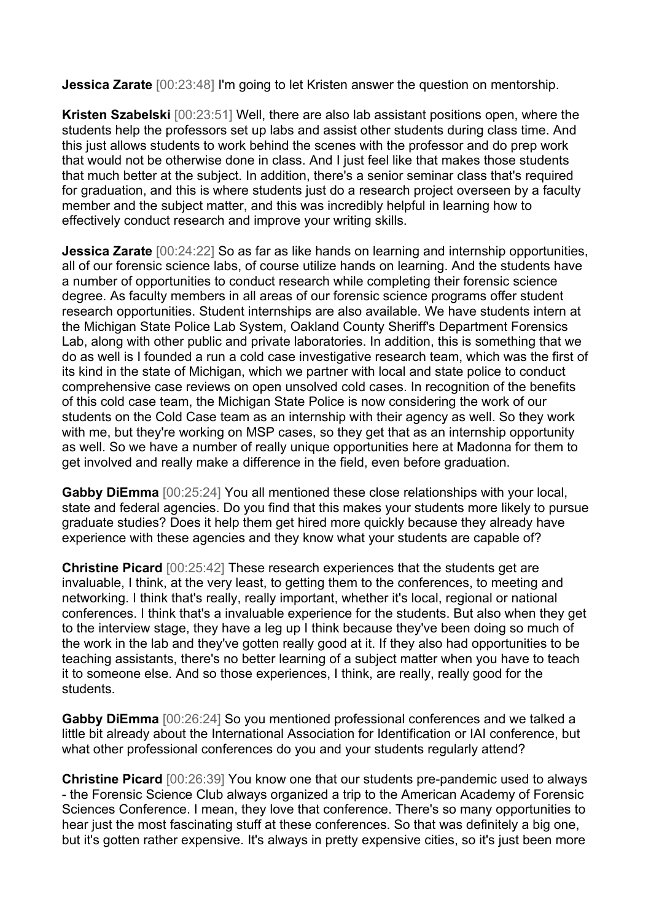**Jessica Zarate** [00:23:48] I'm going to let Kristen answer the question on mentorship.

**Kristen Szabelski** [00:23:51] Well, there are also lab assistant positions open, where the students help the professors set up labs and assist other students during class time. And this just allows students to work behind the scenes with the professor and do prep work that would not be otherwise done in class. And I just feel like that makes those students that much better at the subject. In addition, there's a senior seminar class that's required for graduation, and this is where students just do a research project overseen by a faculty member and the subject matter, and this was incredibly helpful in learning how to effectively conduct research and improve your writing skills.

**Jessica Zarate** [00:24:22] So as far as like hands on learning and internship opportunities, all of our forensic science labs, of course utilize hands on learning. And the students have a number of opportunities to conduct research while completing their forensic science degree. As faculty members in all areas of our forensic science programs offer student research opportunities. Student internships are also available. We have students intern at the Michigan State Police Lab System, Oakland County Sheriff's Department Forensics Lab, along with other public and private laboratories. In addition, this is something that we do as well is I founded a run a cold case investigative research team, which was the first of its kind in the state of Michigan, which we partner with local and state police to conduct comprehensive case reviews on open unsolved cold cases. In recognition of the benefits of this cold case team, the Michigan State Police is now considering the work of our students on the Cold Case team as an internship with their agency as well. So they work with me, but they're working on MSP cases, so they get that as an internship opportunity as well. So we have a number of really unique opportunities here at Madonna for them to get involved and really make a difference in the field, even before graduation.

**Gabby DiEmma** [00:25:24] You all mentioned these close relationships with your local, state and federal agencies. Do you find that this makes your students more likely to pursue graduate studies? Does it help them get hired more quickly because they already have experience with these agencies and they know what your students are capable of?

**Christine Picard** [00:25:42] These research experiences that the students get are invaluable, I think, at the very least, to getting them to the conferences, to meeting and networking. I think that's really, really important, whether it's local, regional or national conferences. I think that's a invaluable experience for the students. But also when they get to the interview stage, they have a leg up I think because they've been doing so much of the work in the lab and they've gotten really good at it. If they also had opportunities to be teaching assistants, there's no better learning of a subject matter when you have to teach it to someone else. And so those experiences, I think, are really, really good for the students.

**Gabby DiEmma** [00:26:24] So you mentioned professional conferences and we talked a little bit already about the International Association for Identification or IAI conference, but what other professional conferences do you and your students regularly attend?

**Christine Picard** [00:26:39] You know one that our students pre-pandemic used to always - the Forensic Science Club always organized a trip to the American Academy of Forensic Sciences Conference. I mean, they love that conference. There's so many opportunities to hear just the most fascinating stuff at these conferences. So that was definitely a big one, but it's gotten rather expensive. It's always in pretty expensive cities, so it's just been more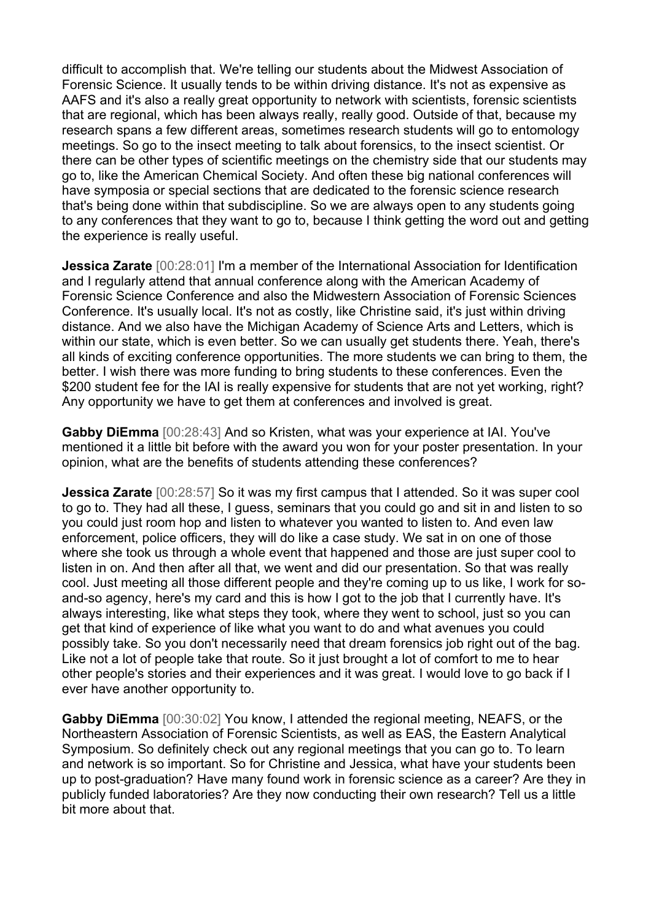difficult to accomplish that. We're telling our students about the Midwest Association of Forensic Science. It usually tends to be within driving distance. It's not as expensive as AAFS and it's also a really great opportunity to network with scientists, forensic scientists that are regional, which has been always really, really good. Outside of that, because my research spans a few different areas, sometimes research students will go to entomology meetings. So go to the insect meeting to talk about forensics, to the insect scientist. Or there can be other types of scientific meetings on the chemistry side that our students may go to, like the American Chemical Society. And often these big national conferences will have symposia or special sections that are dedicated to the forensic science research that's being done within that subdiscipline. So we are always open to any students going to any conferences that they want to go to, because I think getting the word out and getting the experience is really useful.

**Jessica Zarate** [00:28:01] I'm a member of the International Association for Identification and I regularly attend that annual conference along with the American Academy of Forensic Science Conference and also the Midwestern Association of Forensic Sciences Conference. It's usually local. It's not as costly, like Christine said, it's just within driving distance. And we also have the Michigan Academy of Science Arts and Letters, which is within our state, which is even better. So we can usually get students there. Yeah, there's all kinds of exciting conference opportunities. The more students we can bring to them, the better. I wish there was more funding to bring students to these conferences. Even the \$200 student fee for the IAI is really expensive for students that are not yet working, right? Any opportunity we have to get them at conferences and involved is great.

**Gabby DiEmma** [00:28:43] And so Kristen, what was your experience at IAI. You've mentioned it a little bit before with the award you won for your poster presentation. In your opinion, what are the benefits of students attending these conferences?

**Jessica Zarate** [00:28:57] So it was my first campus that I attended. So it was super cool to go to. They had all these, I guess, seminars that you could go and sit in and listen to so you could just room hop and listen to whatever you wanted to listen to. And even law enforcement, police officers, they will do like a case study. We sat in on one of those where she took us through a whole event that happened and those are just super cool to listen in on. And then after all that, we went and did our presentation. So that was really cool. Just meeting all those different people and they're coming up to us like, I work for soand-so agency, here's my card and this is how I got to the job that I currently have. It's always interesting, like what steps they took, where they went to school, just so you can get that kind of experience of like what you want to do and what avenues you could possibly take. So you don't necessarily need that dream forensics job right out of the bag. Like not a lot of people take that route. So it just brought a lot of comfort to me to hear other people's stories and their experiences and it was great. I would love to go back if I ever have another opportunity to.

**Gabby DiEmma** [00:30:02] You know, I attended the regional meeting, NEAFS, or the Northeastern Association of Forensic Scientists, as well as EAS, the Eastern Analytical Symposium. So definitely check out any regional meetings that you can go to. To learn and network is so important. So for Christine and Jessica, what have your students been up to post-graduation? Have many found work in forensic science as a career? Are they in publicly funded laboratories? Are they now conducting their own research? Tell us a little bit more about that.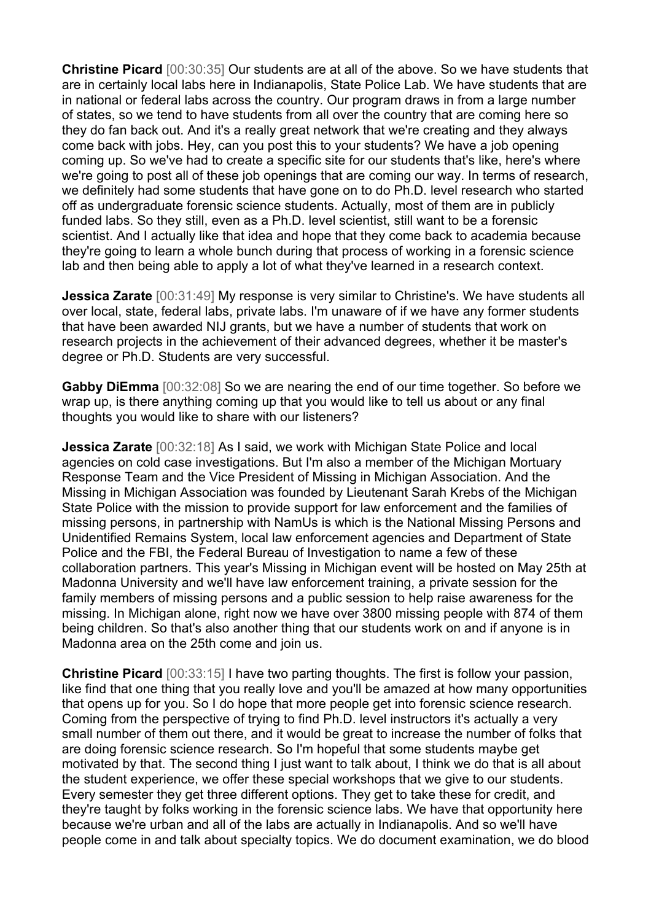**Christine Picard** [00:30:35] Our students are at all of the above. So we have students that are in certainly local labs here in Indianapolis, State Police Lab. We have students that are in national or federal labs across the country. Our program draws in from a large number of states, so we tend to have students from all over the country that are coming here so they do fan back out. And it's a really great network that we're creating and they always come back with jobs. Hey, can you post this to your students? We have a job opening coming up. So we've had to create a specific site for our students that's like, here's where we're going to post all of these job openings that are coming our way. In terms of research, we definitely had some students that have gone on to do Ph.D. level research who started off as undergraduate forensic science students. Actually, most of them are in publicly funded labs. So they still, even as a Ph.D. level scientist, still want to be a forensic scientist. And I actually like that idea and hope that they come back to academia because they're going to learn a whole bunch during that process of working in a forensic science lab and then being able to apply a lot of what they've learned in a research context.

**Jessica Zarate** [00:31:49] My response is very similar to Christine's. We have students all over local, state, federal labs, private labs. I'm unaware of if we have any former students that have been awarded NIJ grants, but we have a number of students that work on research projects in the achievement of their advanced degrees, whether it be master's degree or Ph.D. Students are very successful.

**Gabby DiEmma** [00:32:08] So we are nearing the end of our time together. So before we wrap up, is there anything coming up that you would like to tell us about or any final thoughts you would like to share with our listeners?

**Jessica Zarate** [00:32:18] As I said, we work with Michigan State Police and local agencies on cold case investigations. But I'm also a member of the Michigan Mortuary Response Team and the Vice President of Missing in Michigan Association. And the Missing in Michigan Association was founded by Lieutenant Sarah Krebs of the Michigan State Police with the mission to provide support for law enforcement and the families of missing persons, in partnership with NamUs is which is the National Missing Persons and Unidentified Remains System, local law enforcement agencies and Department of State Police and the FBI, the Federal Bureau of Investigation to name a few of these collaboration partners. This year's Missing in Michigan event will be hosted on May 25th at Madonna University and we'll have law enforcement training, a private session for the family members of missing persons and a public session to help raise awareness for the missing. In Michigan alone, right now we have over 3800 missing people with 874 of them being children. So that's also another thing that our students work on and if anyone is in Madonna area on the 25th come and join us.

**Christine Picard** [00:33:15] I have two parting thoughts. The first is follow your passion, like find that one thing that you really love and you'll be amazed at how many opportunities that opens up for you. So I do hope that more people get into forensic science research. Coming from the perspective of trying to find Ph.D. level instructors it's actually a very small number of them out there, and it would be great to increase the number of folks that are doing forensic science research. So I'm hopeful that some students maybe get motivated by that. The second thing I just want to talk about, I think we do that is all about the student experience, we offer these special workshops that we give to our students. Every semester they get three different options. They get to take these for credit, and they're taught by folks working in the forensic science labs. We have that opportunity here because we're urban and all of the labs are actually in Indianapolis. And so we'll have people come in and talk about specialty topics. We do document examination, we do blood